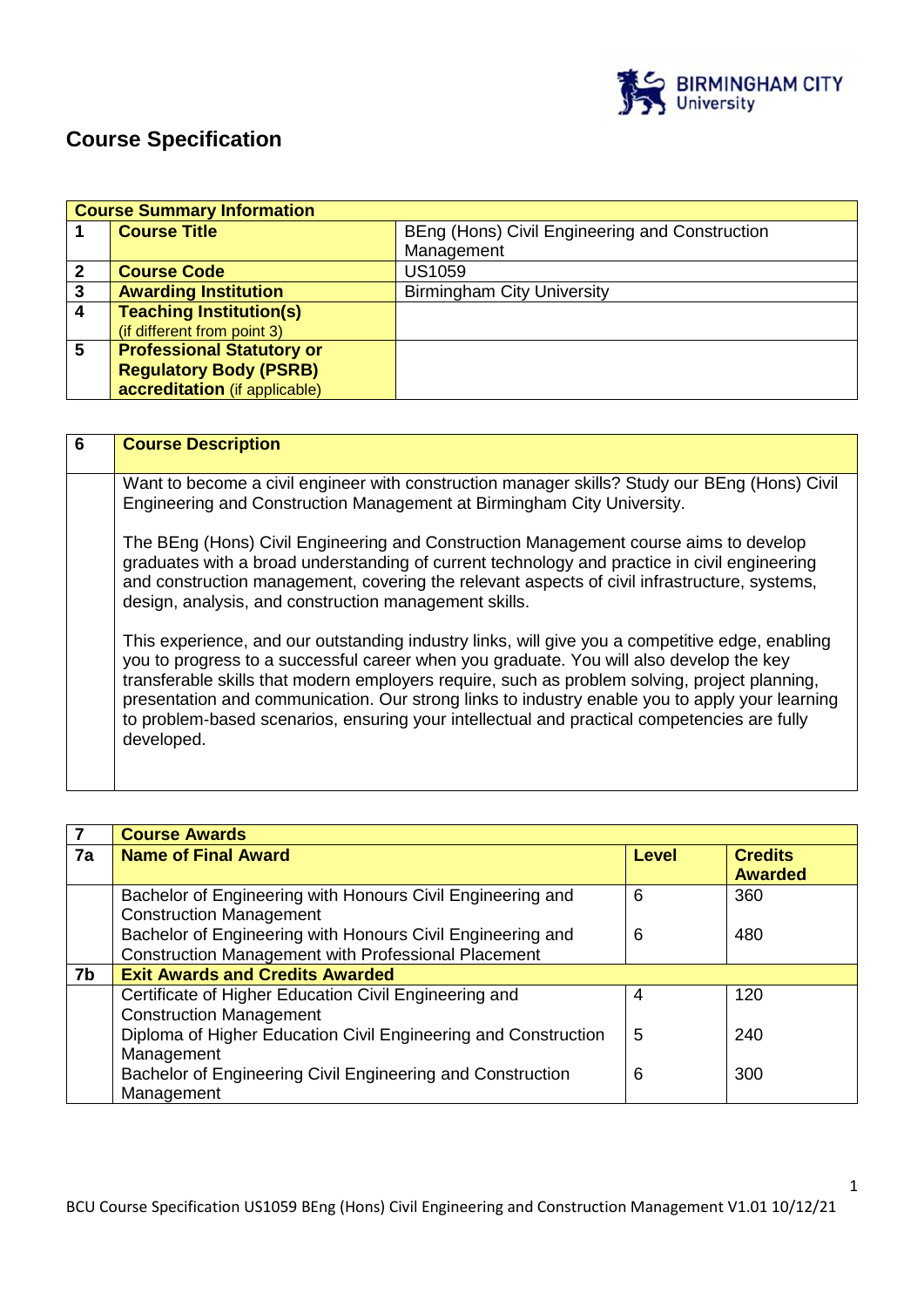

# **Course Specification**

|                | <b>Course Summary Information</b> |                                                |  |
|----------------|-----------------------------------|------------------------------------------------|--|
|                | <b>Course Title</b>               | BEng (Hons) Civil Engineering and Construction |  |
|                |                                   | Management                                     |  |
| $\overline{2}$ | <b>Course Code</b>                | <b>US1059</b>                                  |  |
| 3              | <b>Awarding Institution</b>       | <b>Birmingham City University</b>              |  |
| $\overline{4}$ | <b>Teaching Institution(s)</b>    |                                                |  |
|                | (if different from point 3)       |                                                |  |
| 5              | <b>Professional Statutory or</b>  |                                                |  |
|                | <b>Regulatory Body (PSRB)</b>     |                                                |  |
|                | accreditation (if applicable)     |                                                |  |

| 6 | <b>Course Description</b>                                                                                                                                                                                                                                                                                                                                                                                                                                                                                  |
|---|------------------------------------------------------------------------------------------------------------------------------------------------------------------------------------------------------------------------------------------------------------------------------------------------------------------------------------------------------------------------------------------------------------------------------------------------------------------------------------------------------------|
|   | Want to become a civil engineer with construction manager skills? Study our BEng (Hons) Civil<br>Engineering and Construction Management at Birmingham City University.                                                                                                                                                                                                                                                                                                                                    |
|   | The BEng (Hons) Civil Engineering and Construction Management course aims to develop<br>graduates with a broad understanding of current technology and practice in civil engineering<br>and construction management, covering the relevant aspects of civil infrastructure, systems,<br>design, analysis, and construction management skills.                                                                                                                                                              |
|   | This experience, and our outstanding industry links, will give you a competitive edge, enabling<br>you to progress to a successful career when you graduate. You will also develop the key<br>transferable skills that modern employers require, such as problem solving, project planning,<br>presentation and communication. Our strong links to industry enable you to apply your learning<br>to problem-based scenarios, ensuring your intellectual and practical competencies are fully<br>developed. |

| $\overline{7}$ | <b>Course Awards</b>                                                                                                     |       |                                  |
|----------------|--------------------------------------------------------------------------------------------------------------------------|-------|----------------------------------|
| 7a             | <b>Name of Final Award</b>                                                                                               | Level | <b>Credits</b><br><b>Awarded</b> |
|                | Bachelor of Engineering with Honours Civil Engineering and<br><b>Construction Management</b>                             | 6     | 360                              |
|                | Bachelor of Engineering with Honours Civil Engineering and<br><b>Construction Management with Professional Placement</b> | 6     | 480                              |
| 7b             | <b>Exit Awards and Credits Awarded</b>                                                                                   |       |                                  |
|                | Certificate of Higher Education Civil Engineering and<br><b>Construction Management</b>                                  | 4     | 120                              |
|                | Diploma of Higher Education Civil Engineering and Construction<br>Management                                             | 5     | 240                              |
|                | Bachelor of Engineering Civil Engineering and Construction<br>Management                                                 | 6     | 300                              |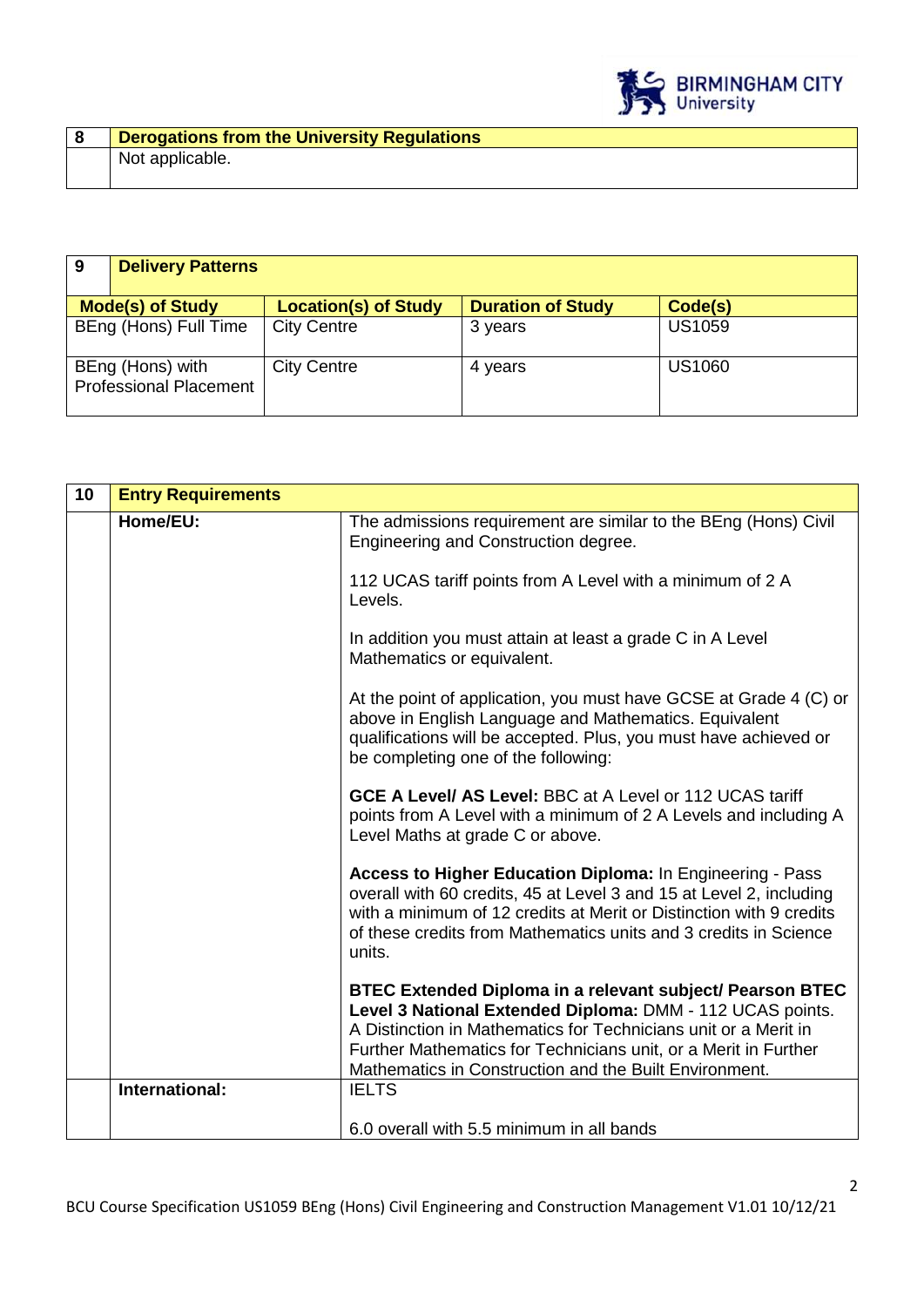

| -9 | <b>Delivery Patterns</b>                          |                             |                          |               |
|----|---------------------------------------------------|-----------------------------|--------------------------|---------------|
|    | <b>Mode(s) of Study</b>                           | <b>Location(s) of Study</b> | <b>Duration of Study</b> | Code(s)       |
|    | BEng (Hons) Full Time                             | <b>City Centre</b>          | 3 years                  | <b>US1059</b> |
|    | BEng (Hons) with<br><b>Professional Placement</b> | <b>City Centre</b>          | 4 years                  | <b>US1060</b> |

| 10 | <b>Entry Requirements</b> |                                                                                                                                                                                                                                                                                                                        |
|----|---------------------------|------------------------------------------------------------------------------------------------------------------------------------------------------------------------------------------------------------------------------------------------------------------------------------------------------------------------|
|    | Home/EU:                  | The admissions requirement are similar to the BEng (Hons) Civil<br>Engineering and Construction degree.                                                                                                                                                                                                                |
|    |                           | 112 UCAS tariff points from A Level with a minimum of 2 A<br>Levels.                                                                                                                                                                                                                                                   |
|    |                           | In addition you must attain at least a grade C in A Level<br>Mathematics or equivalent.                                                                                                                                                                                                                                |
|    |                           | At the point of application, you must have GCSE at Grade 4 (C) or<br>above in English Language and Mathematics. Equivalent<br>qualifications will be accepted. Plus, you must have achieved or<br>be completing one of the following:                                                                                  |
|    |                           | <b>GCE A Level/ AS Level: BBC at A Level or 112 UCAS tariff</b><br>points from A Level with a minimum of 2 A Levels and including A<br>Level Maths at grade C or above.                                                                                                                                                |
|    |                           | Access to Higher Education Diploma: In Engineering - Pass<br>overall with 60 credits, 45 at Level 3 and 15 at Level 2, including<br>with a minimum of 12 credits at Merit or Distinction with 9 credits<br>of these credits from Mathematics units and 3 credits in Science<br>units.                                  |
|    |                           | BTEC Extended Diploma in a relevant subject/ Pearson BTEC<br>Level 3 National Extended Diploma: DMM - 112 UCAS points.<br>A Distinction in Mathematics for Technicians unit or a Merit in<br>Further Mathematics for Technicians unit, or a Merit in Further<br>Mathematics in Construction and the Built Environment. |
|    | International:            | <b>IELTS</b>                                                                                                                                                                                                                                                                                                           |
|    |                           | 6.0 overall with 5.5 minimum in all bands                                                                                                                                                                                                                                                                              |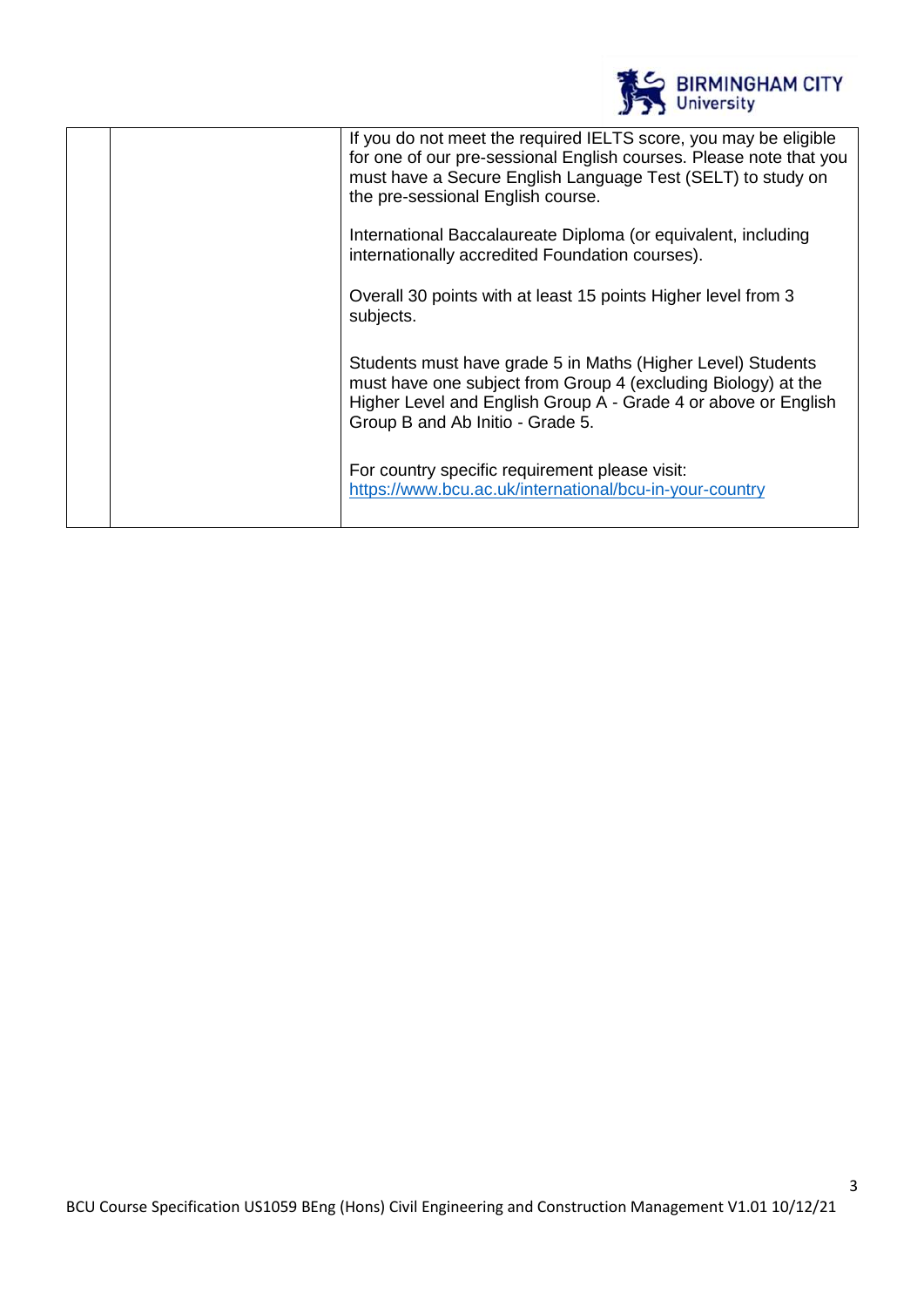| <b>BIRMINGHAM CITY</b><br>University                                                                                                                                                                                                       |
|--------------------------------------------------------------------------------------------------------------------------------------------------------------------------------------------------------------------------------------------|
| If you do not meet the required IELTS score, you may be eligible<br>for one of our pre-sessional English courses. Please note that you<br>must have a Secure English Language Test (SELT) to study on<br>the pre-sessional English course. |
| International Baccalaureate Diploma (or equivalent, including<br>internationally accredited Foundation courses).                                                                                                                           |
| Overall 30 points with at least 15 points Higher level from 3<br>subjects.                                                                                                                                                                 |
| Students must have grade 5 in Maths (Higher Level) Students<br>must have one subject from Group 4 (excluding Biology) at the<br>Higher Level and English Group A - Grade 4 or above or English<br>Group B and Ab Initio - Grade 5.         |
| For country specific requirement please visit:<br>https://www.bcu.ac.uk/international/bcu-in-your-country                                                                                                                                  |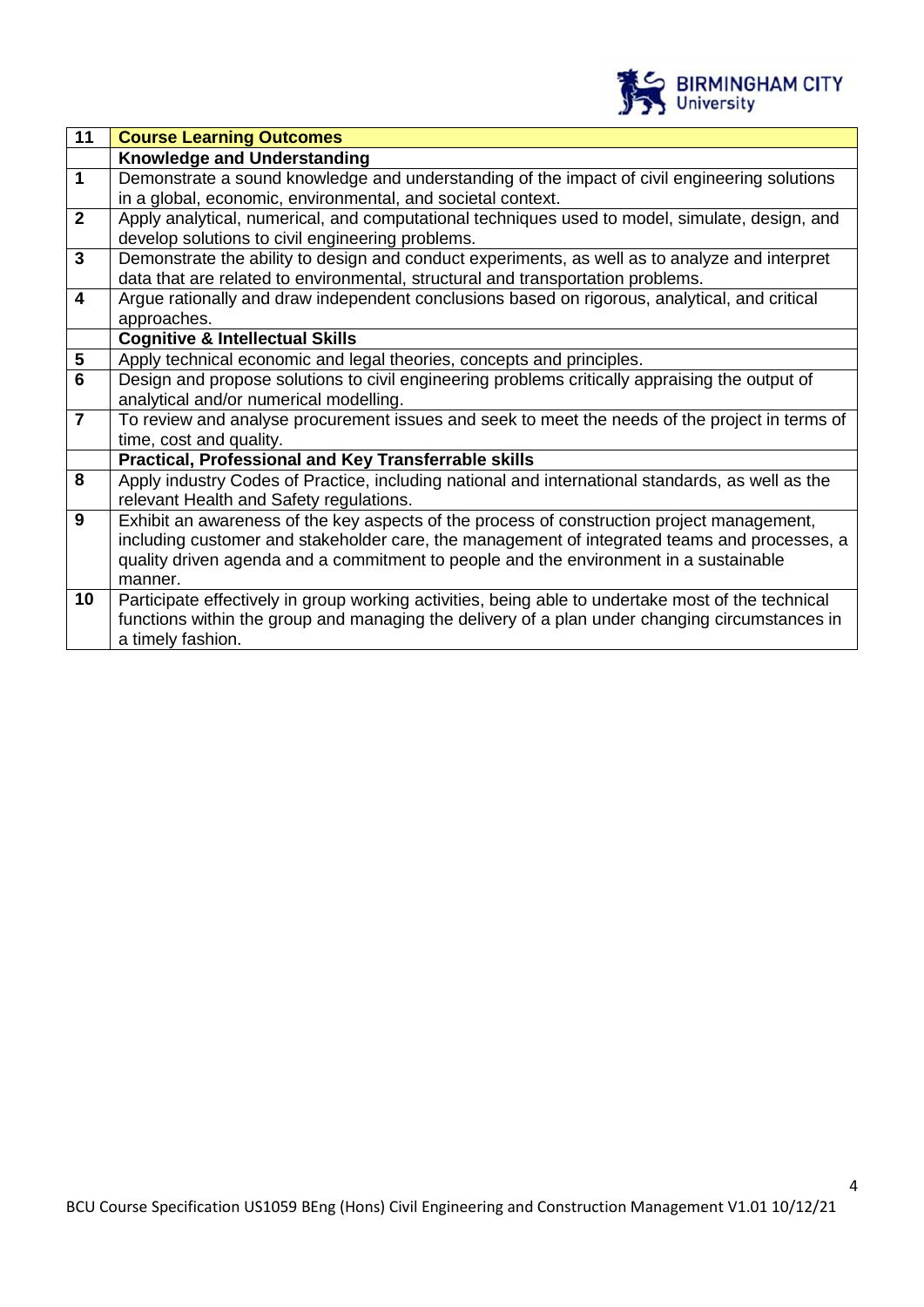

4

| 11                      | <b>Course Learning Outcomes</b>                                                                    |
|-------------------------|----------------------------------------------------------------------------------------------------|
|                         | <b>Knowledge and Understanding</b>                                                                 |
| $\mathbf{1}$            | Demonstrate a sound knowledge and understanding of the impact of civil engineering solutions       |
|                         | in a global, economic, environmental, and societal context.                                        |
| $\overline{2}$          | Apply analytical, numerical, and computational techniques used to model, simulate, design, and     |
|                         | develop solutions to civil engineering problems.                                                   |
| $\mathbf{3}$            | Demonstrate the ability to design and conduct experiments, as well as to analyze and interpret     |
|                         | data that are related to environmental, structural and transportation problems.                    |
| $\overline{\mathbf{4}}$ | Argue rationally and draw independent conclusions based on rigorous, analytical, and critical      |
|                         | approaches.                                                                                        |
|                         | <b>Cognitive &amp; Intellectual Skills</b>                                                         |
| $\overline{\mathbf{5}}$ | Apply technical economic and legal theories, concepts and principles.                              |
| 6                       | Design and propose solutions to civil engineering problems critically appraising the output of     |
|                         | analytical and/or numerical modelling.                                                             |
| $\overline{7}$          | To review and analyse procurement issues and seek to meet the needs of the project in terms of     |
|                         | time, cost and quality.                                                                            |
|                         | <b>Practical, Professional and Key Transferrable skills</b>                                        |
| 8                       | Apply industry Codes of Practice, including national and international standards, as well as the   |
|                         | relevant Health and Safety regulations.                                                            |
| 9                       | Exhibit an awareness of the key aspects of the process of construction project management,         |
|                         | including customer and stakeholder care, the management of integrated teams and processes, a       |
|                         | quality driven agenda and a commitment to people and the environment in a sustainable              |
|                         | manner.                                                                                            |
| 10                      | Participate effectively in group working activities, being able to undertake most of the technical |
|                         | functions within the group and managing the delivery of a plan under changing circumstances in     |
|                         | a timely fashion.                                                                                  |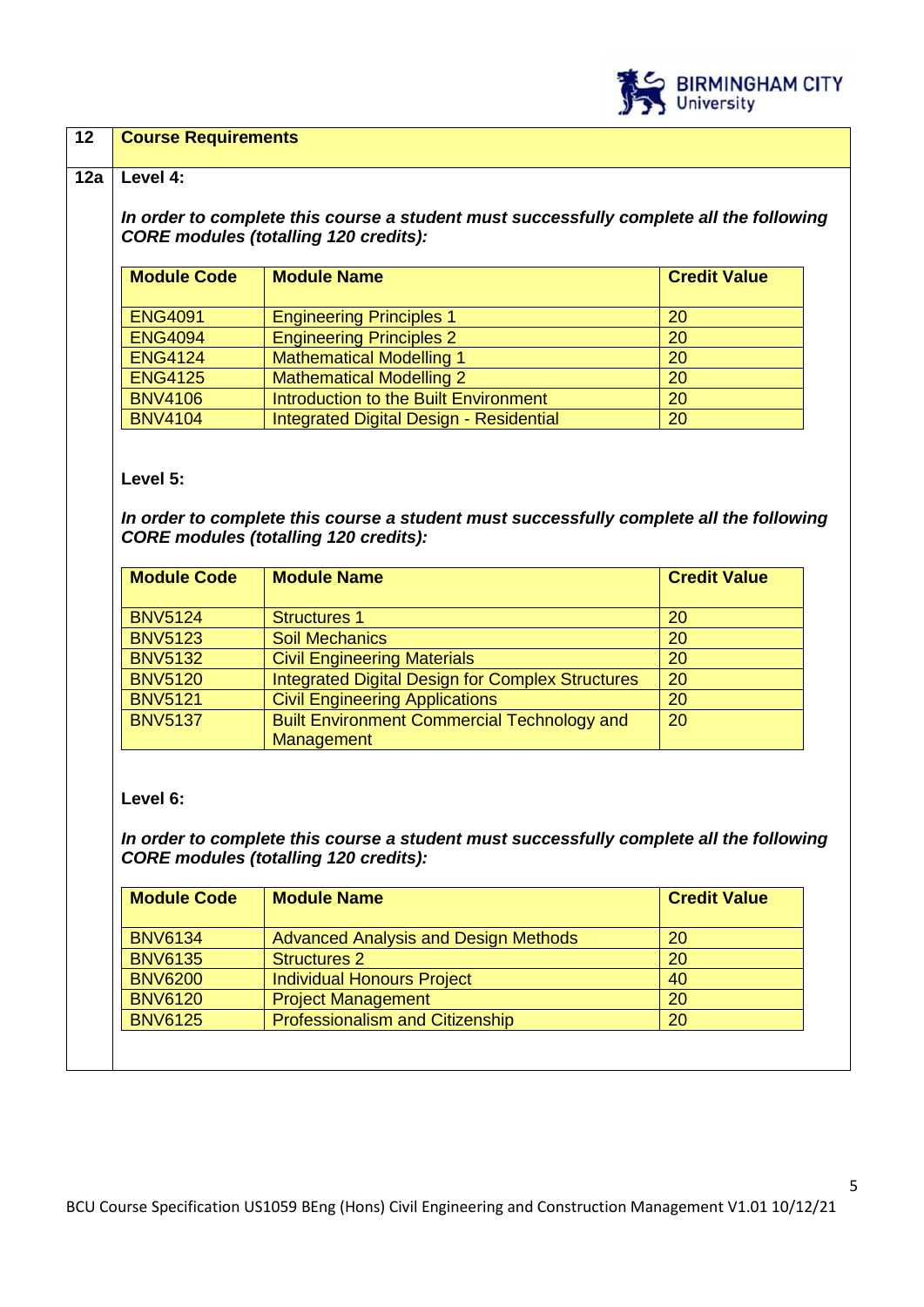

## **12 Course Requirements**

#### **12a Level 4:**

*In order to complete this course a student must successfully complete all the following CORE modules (totalling 120 credits):*

| <b>Module Code</b> | <b>Module Name</b>                      | <b>Credit Value</b> |
|--------------------|-----------------------------------------|---------------------|
| <b>ENG4091</b>     | <b>Engineering Principles 1</b>         | <b>20</b>           |
| <b>ENG4094</b>     | <b>Engineering Principles 2</b>         | <b>20</b>           |
| <b>ENG4124</b>     | <b>Mathematical Modelling 1</b>         | 20                  |
| <b>ENG4125</b>     | <b>Mathematical Modelling 2</b>         | 20                  |
| <b>BNV4106</b>     | Introduction to the Built Environment   | 20                  |
| <b>BNV4104</b>     | Integrated Digital Design - Residential | 20                  |

**Level 5:**

*In order to complete this course a student must successfully complete all the following CORE modules (totalling 120 credits):*

| <b>Module Code</b> | <b>Module Name</b>                                      | <b>Credit Value</b> |
|--------------------|---------------------------------------------------------|---------------------|
| <b>BNV5124</b>     | <b>Structures 1</b>                                     | 20                  |
| <b>BNV5123</b>     | <b>Soil Mechanics</b>                                   | 20                  |
| <b>BNV5132</b>     | <b>Civil Engineering Materials</b>                      | 20                  |
| <b>BNV5120</b>     | <b>Integrated Digital Design for Complex Structures</b> | 20                  |
| <b>BNV5121</b>     | <b>Civil Engineering Applications</b>                   | 20                  |
| <b>BNV5137</b>     | <b>Built Environment Commercial Technology and</b>      | 20                  |
|                    | Management                                              |                     |

**Level 6:**

*In order to complete this course a student must successfully complete all the following CORE modules (totalling 120 credits):*

| <b>Module Code</b> | <b>Module Name</b>                          | <b>Credit Value</b> |
|--------------------|---------------------------------------------|---------------------|
| <b>BNV6134</b>     | <b>Advanced Analysis and Design Methods</b> | 20                  |
| <b>BNV6135</b>     | <b>Structures 2</b>                         | 20                  |
| <b>BNV6200</b>     | <b>Individual Honours Project</b>           | 40                  |
| <b>BNV6120</b>     | <b>Project Management</b>                   | 20                  |
| <b>BNV6125</b>     | <b>Professionalism and Citizenship</b>      | 20                  |
|                    |                                             |                     |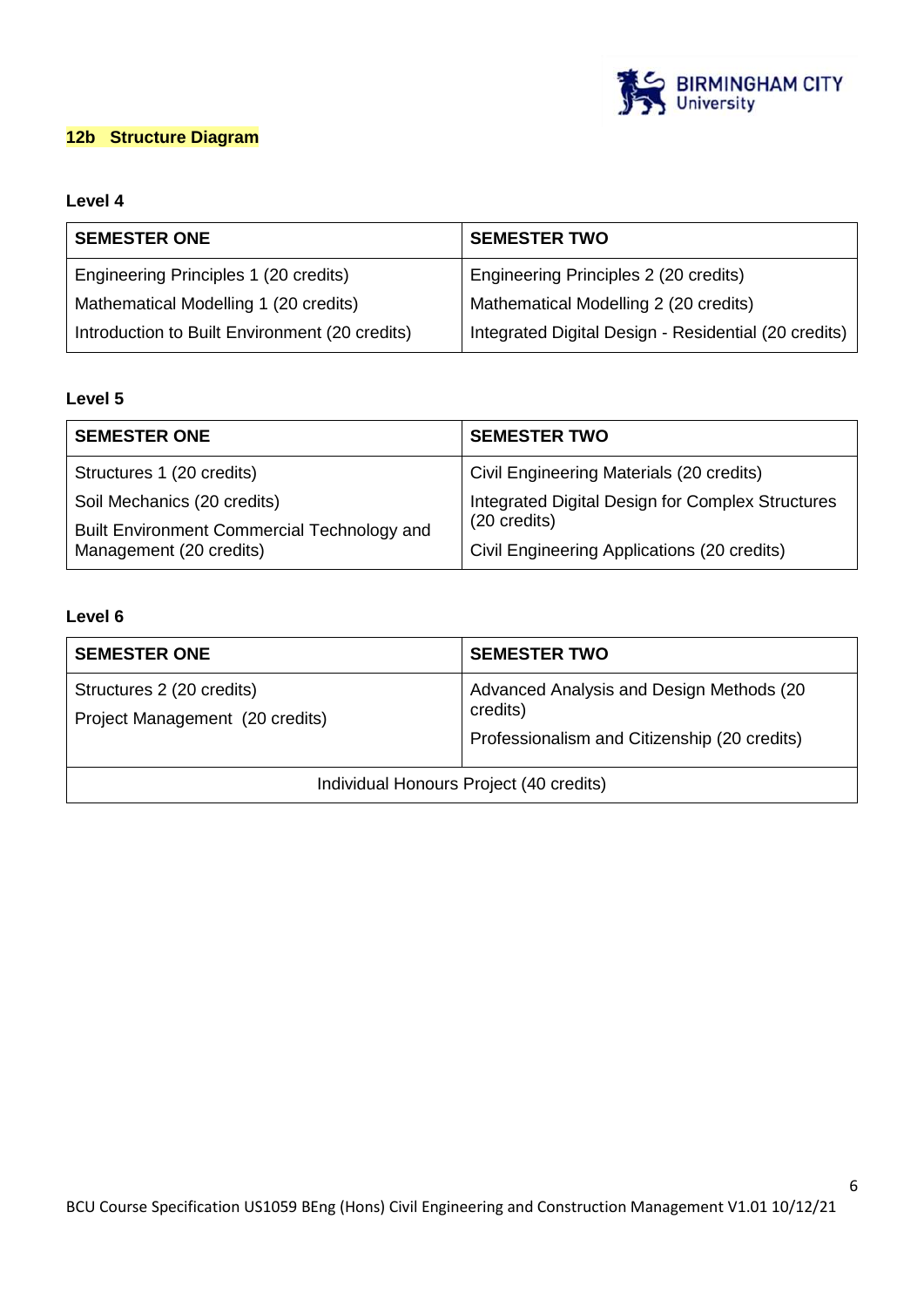

# **12b Structure Diagram**

# **Level 4**

| <b>SEMESTER ONE</b>                            | <b>SEMESTER TWO</b>                                  |
|------------------------------------------------|------------------------------------------------------|
| Engineering Principles 1 (20 credits)          | Engineering Principles 2 (20 credits)                |
| Mathematical Modelling 1 (20 credits)          | Mathematical Modelling 2 (20 credits)                |
| Introduction to Built Environment (20 credits) | Integrated Digital Design - Residential (20 credits) |

# **Level 5**

| <b>SEMESTER ONE</b>                         | <b>SEMESTER TWO</b>                                              |  |
|---------------------------------------------|------------------------------------------------------------------|--|
| Structures 1 (20 credits)                   | Civil Engineering Materials (20 credits)                         |  |
| Soil Mechanics (20 credits)                 | Integrated Digital Design for Complex Structures<br>(20 credits) |  |
| Built Environment Commercial Technology and |                                                                  |  |
| Management (20 credits)                     | Civil Engineering Applications (20 credits)                      |  |

## **Level 6**

| <b>SEMESTER ONE</b>                                          | <b>SEMESTER TWO</b>                                                                                  |
|--------------------------------------------------------------|------------------------------------------------------------------------------------------------------|
| Structures 2 (20 credits)<br>Project Management (20 credits) | Advanced Analysis and Design Methods (20<br>credits)<br>Professionalism and Citizenship (20 credits) |
| Individual Honours Project (40 credits)                      |                                                                                                      |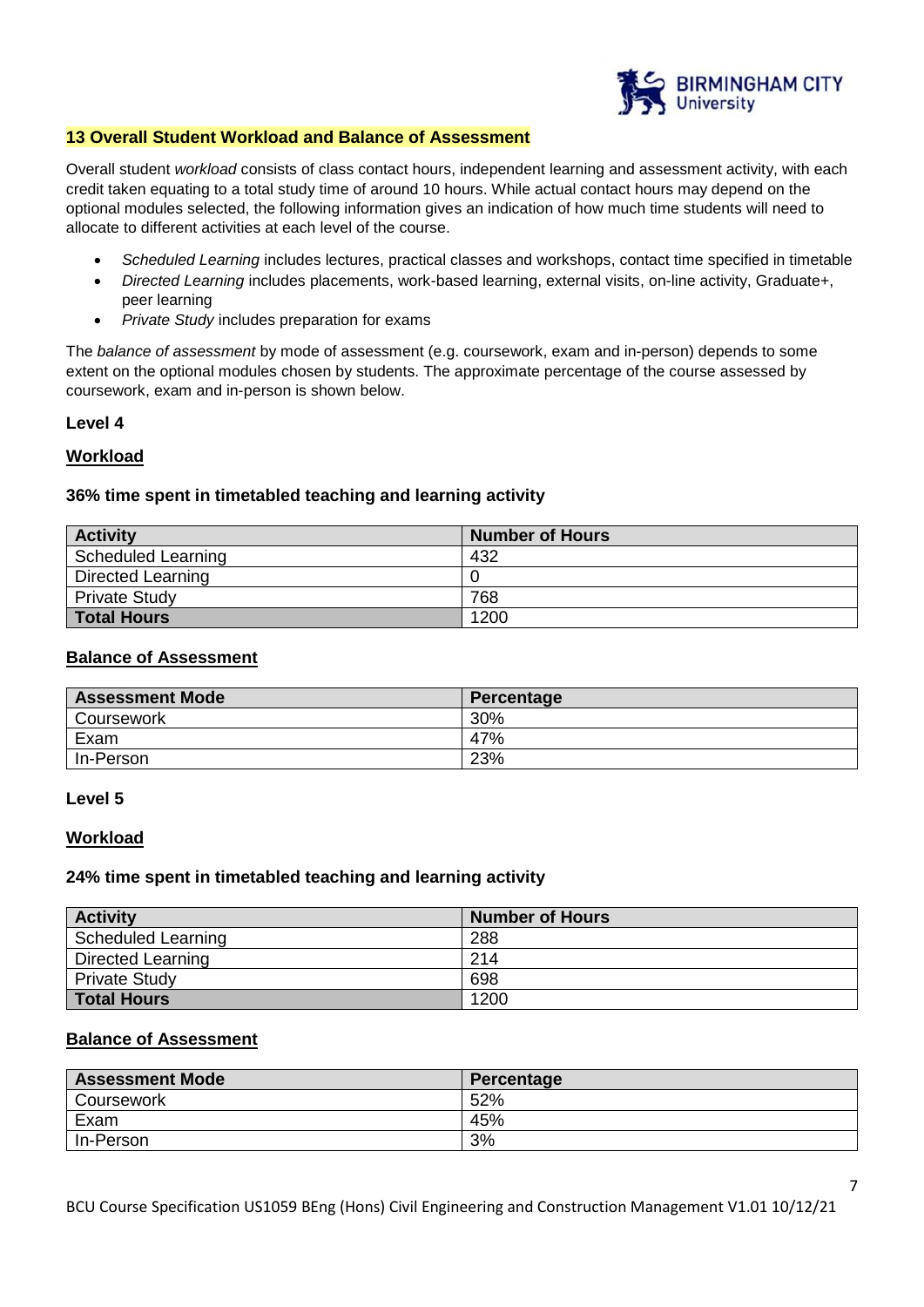

#### **13 Overall Student Workload and Balance of Assessment**

Overall student *workload* consists of class contact hours, independent learning and assessment activity, with each credit taken equating to a total study time of around 10 hours. While actual contact hours may depend on the optional modules selected, the following information gives an indication of how much time students will need to allocate to different activities at each level of the course.

- *Scheduled Learning* includes lectures, practical classes and workshops, contact time specified in timetable
- *Directed Learning* includes placements, work-based learning, external visits, on-line activity, Graduate+, peer learning
- *Private Study* includes preparation for exams

The *balance of assessment* by mode of assessment (e.g. coursework, exam and in-person) depends to some extent on the optional modules chosen by students. The approximate percentage of the course assessed by coursework, exam and in-person is shown below.

## **Level 4**

## **Workload**

## **36% time spent in timetabled teaching and learning activity**

| <b>Activity</b>          | <b>Number of Hours</b> |
|--------------------------|------------------------|
| Scheduled Learning       | 432                    |
| <b>Directed Learning</b> |                        |
| <b>Private Study</b>     | 768                    |
| <b>Total Hours</b>       | 1200                   |

#### **Balance of Assessment**

| <b>Assessment Mode</b> | Percentage |
|------------------------|------------|
| Coursework             | 30%        |
| Exam                   | 47%        |
| In-Person              | 23%        |

#### **Level 5**

#### **Workload**

#### **24% time spent in timetabled teaching and learning activity**

| <b>Activity</b>      | <b>Number of Hours</b> |
|----------------------|------------------------|
| Scheduled Learning   | 288                    |
| Directed Learning    | 214                    |
| <b>Private Study</b> | 698                    |
| <b>Total Hours</b>   | 1200                   |

## **Balance of Assessment**

| <b>Assessment Mode</b> | Percentage |
|------------------------|------------|
| Coursework             | 52%        |
| Exam                   | 45%        |
| In-Person              | 3%         |